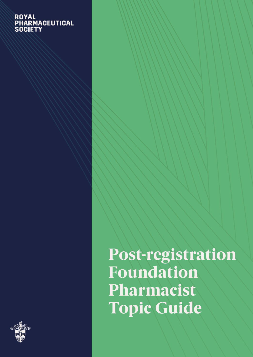## ROYAL<br>PHARMACEUTICAL<br>SOCIETY



Post-registration Foundation Pharmacist Topic Guide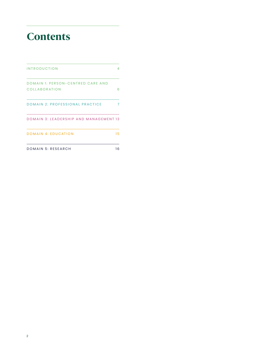### **Contents**

| <b>INTRODUCTION</b>                                | 4   |
|----------------------------------------------------|-----|
| DOMAIN 1: PERSON-CENTRED CARE AND<br>COLLABORATION | ഒ   |
| <b>DOMAIN 2: PROFESSIONAL PRACTICE</b>             |     |
| DOMAIN 3: LEADERSHIP AND MANAGEMENT 13             |     |
| <b>DOMAIN 4: EDUCATION</b>                         | 15. |
| DOMAIN 5: RESEARCH                                 | 16  |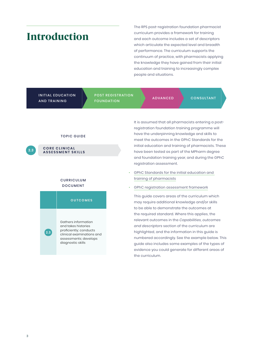### <span id="page-2-0"></span>Introduction

The RPS post-registration foundation pharmacist curriculum provides a framework for training and each outcome includes a set of descriptors which articulate the expected level and breadth of performance. The curriculum supports the continuum of practice, with pharmacists applying the knowledge they have gained from their initial education and training to increasingly complex people and situations.

|     | <b>AND TRAINING</b>                                                                                                                                    | <b>INITIAL EDUCATION</b>             |                                                                                                                                                                                                                                                                                                                                                                                                                      | <b>POST REGISTRATION</b><br><b>FOUNDATION</b>                                                                                                                                                                                                                                                                                                                            |                                                                                                                                               | <b>ADVANCED</b> | <b>CONSULTANT</b> |
|-----|--------------------------------------------------------------------------------------------------------------------------------------------------------|--------------------------------------|----------------------------------------------------------------------------------------------------------------------------------------------------------------------------------------------------------------------------------------------------------------------------------------------------------------------------------------------------------------------------------------------------------------------|--------------------------------------------------------------------------------------------------------------------------------------------------------------------------------------------------------------------------------------------------------------------------------------------------------------------------------------------------------------------------|-----------------------------------------------------------------------------------------------------------------------------------------------|-----------------|-------------------|
| 2.3 | <b>TOPIC GUIDE</b><br><b>CORE CLINICAL</b><br><b>ASSESSMENT SKILLS</b>                                                                                 |                                      |                                                                                                                                                                                                                                                                                                                                                                                                                      | It is assumed that all pharmacists entering a post-<br>registration foundation training programme will<br>have the underpinning knowledge and skills to<br>meet the outcomes in the GPhC Standards for the<br>initial education and training of pharmacists. These<br>have been tested as part of the MPharm degree<br>and foundation training year, and during the GPhC |                                                                                                                                               |                 |                   |
|     |                                                                                                                                                        | <b>CURRICULUM</b><br><b>DOCUMENT</b> |                                                                                                                                                                                                                                                                                                                                                                                                                      |                                                                                                                                                                                                                                                                                                                                                                          | registration assessment.<br>GPhC Standards for the initial education and<br>training of pharmacists<br>GPhC registration assessment framework |                 |                   |
|     |                                                                                                                                                        |                                      | <b>OUTCOMES</b>                                                                                                                                                                                                                                                                                                                                                                                                      |                                                                                                                                                                                                                                                                                                                                                                          | This guide covers areas of the curriculum which<br>may require additional knowledge and/or skills                                             |                 |                   |
|     | Gathers information<br>and takes histories<br>proficiently; conducts<br>2.3<br>clinical examinations and<br>assessments; develops<br>diagnostic skills |                                      | to be able to demonstrate the outcomes at<br>the required standard. Where this applies, the<br>relevant outcomes in the Capabilities, outcomes<br>and descriptors section of the curriculum are<br>highlighted, and the information in this guide is<br>numbered accordingly. See the example below. This<br>guide also includes some examples of the types of<br>evidence you could generate for different areas of |                                                                                                                                                                                                                                                                                                                                                                          |                                                                                                                                               |                 |                   |
|     |                                                                                                                                                        |                                      |                                                                                                                                                                                                                                                                                                                                                                                                                      |                                                                                                                                                                                                                                                                                                                                                                          | the curriculum.                                                                                                                               |                 |                   |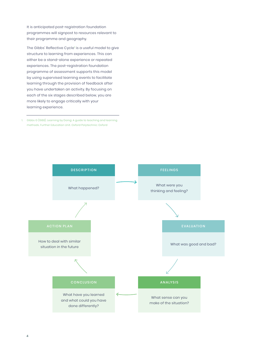It is anticipated post-registration foundation programmes will signpost to resources relevant to their programme and geography.

The Gibbs' Reflective Cycle' is a useful model to give structure to learning from experiences. This can either be a stand-alone experience or repeated experiences. The post-registration foundation programme of assessment supports this model by using supervised learning events to facilitate learning through the provision of feedback after you have undertaken an activity. By focusing on each of the six stages described below, you are more likely to engage critically with your learning experience.

1. Gibbs G (1988). Learning by Doing: A guide to teaching and learning methods. Further Education Unit. Oxford Polytechnic: Oxford

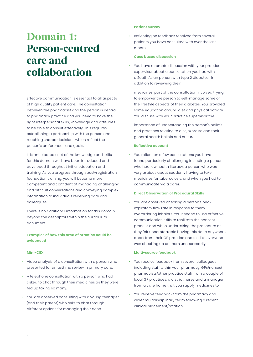### <span id="page-4-0"></span>Domain 1: Person-centred care and collaboration

Effective communication is essential to all aspects of high quality patient care. The consultation between the pharmacist and the person is central to pharmacy practice and you need to have the right interpersonal skills, knowledge and attitudes to be able to consult effectively. This requires establishing a partnership with the person and reaching shared decisions which reflect the person's preferences and goals.

It is anticipated a lot of the knowledge and skills for this domain will have been introduced and developed throughout initial education and training. As you progress through post-registration foundation training, you will become more competent and confident at managing challenging and difficult conversations and conveying complex information to individuals receiving care and colleagues.

There is no additional information for this domain beyond the descriptors within the curriculum document.

#### **Examples of how this area of practice could be evidenced**

#### **Mini-CEX**

- Video analysis of a consultation with a person who presented for an asthma review in primary care.
- A telephone consultation with a person who had asked to chat through their medicines as they were fed up taking so many.
- You are observed consulting with a young teenager (and their parent) who asks to chat through different options for managing their acne.

#### **Patient survey**

• Reflecting on feedback received from several patients you have consulted with over the last month.

#### **Case based discussion**

• You have a remote discussion with your practice supervisor about a consultation you had with a South Asian person with type 2 diabetes. In addition to reviewing their

medicines, part of the consultation involved trying to empower the person to self-manage some of the lifestyle aspects of their diabetes. You provided some education around diet and physical activity. You discuss with your practice supervisor the

importance of understanding the person's beliefs and practices relating to diet, exercise and their general health beliefs and culture.

#### **Reflective account**

• You reflect on a few consultations you have found particularly challenging including a person who had low health literacy, a person who was very anxious about suddenly having to take medicines for tuberculosis, and when you had to communicate via a carer.

#### **Direct Observation of Procedural Skills**

• You are observed checking a person's peak expiratory flow rate in response to them overordering inhalers. You needed to use effective communication skills to facilitate the consent process and when undertaking the procedure as they felt uncomfortable having this done anywhere apart from their GP practice and felt like everyone was checking up on them unnecessarily.

#### **Multi-source feedback**

- You receive feedback from several colleagues including staff within your pharmacy, GPs/nurses/ pharmacists/other practice staff from a couple of local GP practices, a district nurse and a manager from a care home that you supply medicines to.
- You receive feedback from the pharmacy and wider multidisciplinary team following a recent clinical placement/rotation.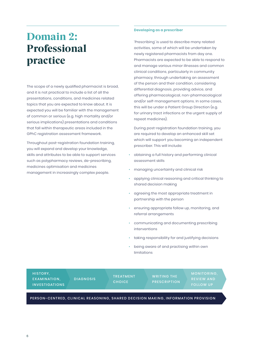### <span id="page-5-0"></span>Domain 2: Professional practice

The scope of a newly qualified pharmacist is broad, and it is not practical to include a list of all the presentations, conditions, and medicines related topics that you are expected to know about. It is expected you will be familiar with the management of common or serious (e.g. high mortality and/or serious implications) presentations and conditions that fall within therapeutic areas included in the GPhC registration assessment framework.

Throughout post-registration foundation training, you will expand and develop your knowledge, skills and attributes to be able to support services such as polypharmacy reviews, de-prescribing, medicines optimisation and medicines management in increasingly complex people.

#### **Developing as a prescriber**

'Prescribing' is used to describe many related activities, some of which will be undertaken by newly registered pharmacists from day one. Pharmacists are expected to be able to respond to and manage various minor illnesses and common clinical conditions, particularly in community pharmacy, through undertaking an assessment of the person and their condition, considering differential diagnosis, providing advice, and offering pharmacological, non-pharmacological and/or self-management options. In some cases, this will be under a Patient Group Direction (e.g. for urinary tract infections or the urgent supply of repeat medicines).

During post-registration foundation training, you are required to develop an enhanced skill set which will support you becoming an independent prescriber. This will include:

- obtaining a full history and performing clinical assessment skills
- managing uncertainty and clinical risk
- applying clinical reasoning and critical thinking to shared decision making
- agreeing the most appropriate treatment in partnership with the person
- ensuring appropriate follow up, monitoring, and referral arrangements
- communicating and documenting prescribing interventions
- taking responsibility for and justifying decisions
- being aware of and practising within own limitations

| HISTORY,<br>EXAMINATION.<br><b>INVESTIGATIONS</b>                                 | <b>DIAGNOSIS</b> | <b>TREATMENT</b><br><b>CHOICE</b> | <b>WRITING THE</b><br><b>PRESCRIPTION</b> | <b>MONITORING.</b><br><b>REVIEW AND</b><br><b>FOLLOW UP</b> |  |
|-----------------------------------------------------------------------------------|------------------|-----------------------------------|-------------------------------------------|-------------------------------------------------------------|--|
| PERSON-CENTRED, CLINICAL REASONING, SHARED DECISION MAKING, INFORMATION PROVISION |                  |                                   |                                           |                                                             |  |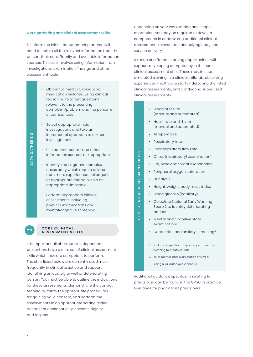#### **Data gathering and clinical assessment skills**

To inform the initial management plan, you will need to obtain all the relevant information from the person, their carer/family and available information sources. This also involves using information from investigations, examination findings and other assessment tools.

- Obtain full medical, social and medication histories, using clinical reasoning to target questions relevant to the presenting complaint/problem and the person's circumstances
- Select appropriate initial investigations and take an incremental approach to further investigations
- Use patient records and other information sources as appropriate
- Identify 'red flags' and complex cases early which require advice from more experienced colleagues or appropriate referral within an appropriate timescale
- Perform appropriate clinical assessments including physical examinations and mental/cognitive screening

#### **CORE CLINICAL ASSESSMENT SKILLS 2.3**

It is important all pharmacist independent prescribers have a core set of clinical assessment skills which they are competent to perform. The skills listed below are currently used most frequently in clinical practice and support identifying an acutely unwell or deteriorating person. You must be able to outline the indications for these assessments, demonstrate the correct technique, follow the appropriate procedures for gaining valid consent, and perform the assessments in an appropriate setting taking account of confidentiality, consent, dignity and respect.

Depending on your work setting and scope of practice, you may be required to develop competence in undertaking additional clinical assessments relevant to national/regional/local service delivery.

A range of different learning opportunities will support developing competency in the core clinical assessment skills. These may include simulated training in a clinical skills lab, observing experienced healthcare staff undertaking the listed clinical assessments, and conducting supervised clinical assessments.

- Blood pressure (manual and automated)
- Heart rate and rhythm (manual and automated)
- Temperature
- Respiratory rate
- Peak expiratory flow rate
- Chest (respiratory) examination<sup>1</sup>
- Ear, nose and throat examination
- Peripheral oxygen saturation
- Urinalysis

CORE CLINCIAL ASSESSMENT SKILLS

CORE CLINCIAL ASSESSMENT SKILLS

- Height, weight, body mass index
- Blood glucose (capillary)
- Calculate National Early Warning Score 2 to identify deteriorating patients
- Mental and cognitive state examination<sup>2</sup>
- Depression and anxiety screening<sup>3</sup>
- 1. includes inspection, palpation, percussion and listening to breath sounds
- 2. mini-mental state examination or similar
- 3. using a validated questionnaire

Additional guidance specifically relating to prescribing can be found in the [GPhC In practice:](https://www.pharmacyregulation.org/sites/default/files/document/in-practice-guidance-for-pharmacist-prescribers-february-2020.pdf)  [Guidance for pharmacist prescribers](https://www.pharmacyregulation.org/sites/default/files/document/in-practice-guidance-for-pharmacist-prescribers-february-2020.pdf)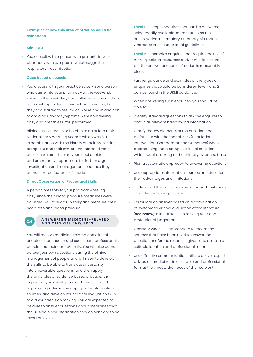#### **Examples of how this area of practice could be evidenced**

#### **Mini-CEX**

• You consult with a person who presents in your pharmacy with symptoms which suggest a respiratory tract infection.

#### **Case based discussion**

• You discuss with your practice supervisor a person who came into your pharmacy at the weekend. Earlier in the week they had collected a prescription for trimethoprim for a urinary tract infection, but they had started to feel much worse and in addition to ongoing urinary symptoms were now feeling dizzy and breathless. You performed

clinical assessments to be able to calculate their National Early Warning Score 2 which was 5. This, in combination with the history of their presenting complaint and their symptoms, informed your decision to refer them to your local accident and emergency department for further urgent investigation and management, because they demonstrated features of sepsis.

#### **Direct Observation of Procedural Skills**

- A person presents to your pharmacy feeling dizzy since their blood pressure medicines were adjusted. You take a full history and measure their heart rate and blood pressure.
	-

#### **A N S W E R I N G M E D I C I N E - R E L AT E D AND CLINICAL ENQUIRES 2.4**

You will receive medicine-related and clinical enquiries from health and social care professionals, people and their carers/family. You will also come across your own questions during the clinical management of people and will need to develop the skills to be able to translate uncertainty into answerable questions, and then apply the principles of evidence based practice. It is important you develop a structured approach to providing advice, use appropriate information sources, and develop your critical evaluation skills to aid your decision making. You are expected to be able to answer questions about medicines that the UK Medicines Information service consider to be level 1 or level 2.

**Level 1** – simple enquires that can be answered using readily available sources such as the British National Formulary, Summary of Product Characteristics and/or local guidelines.

**Level 2** – complex enquires that require the use of more specialist resources and/or multiple sources, but the answer or course of action is reasonably clear.

Further guidance and examples of the types of enquiries that would be considered level 1 and 2 can be found in the [UKMI guidance.](https://www.sps.nhs.uk/wp-content/uploads/2017/01/Enquirylevelguidance-quickreference_3.doc)

When answering such enquiries, you should be able to:

- Identify standard questions to ask the enquirer to obtain all relevant background information
- Clarify the key elements of the question and be familiar with the model PICO (Population, Intervention, Comparator and Outcomes) when approaching more complex clinical questions which require looking at the primary evidence base
- Plan a systematic approach to answering questions
- Use appropriate information sources and describe their advantages and limitations
- Understand the principles, strengths and limitations of evidence based practice
- Formulate an answer based on a combination of systematic critical evaluation of the literature (**see below**), clinical decision making skills and professional judgement
- Consider when it is appropriate to record the sources that have been used to answer the question and/or the response given, and do so in a suitable location and professional manner
- Use effective communication skills to deliver expert advice on medicines in a suitable and professional format that meets the needs of the recipient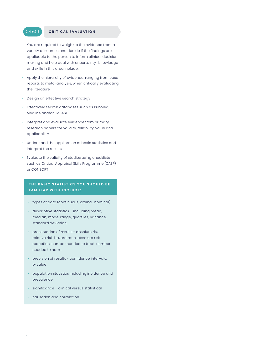#### **2.4 + 2.5 CRITICAL EVALUATION**

You are required to weigh up the evidence from a variety of sources and decide if the findings are applicable to the person to inform clinical decision making and help deal with uncertainty. Knowledge and skills in this area include:

- Apply the hierarchy of evidence, ranging from case reports to meta-analysis, when critically evaluating the literature
- Design an effective search strategy
- Effectively search databases such as PubMed, Medline and/or EMBASE
- Interpret and evaluate evidence from primary research papers for validity, reliability, value and applicability
- Understand the application of basic statistics and interpret the results
- Evaluate the validity of studies using checklists such as [Critical Appraisal Skills Programme](https://casp-uk.net/casp-tools-checklists/) (CASP) or [CONSORT](http://www.consort-statement.org/)

#### **THE BASIC STATISTICS YOU SHOULD BE FAMILIAR WITH INCLUDE:**

- types of data (continuous, ordinal, nominal)
- descriptive statistics including mean, median, mode, range, quartiles, variance, standard deviation,
- presentation of results absolute risk, relative risk, hazard ratio, absolute risk reduction, number needed to treat, number needed to harm
- precision of results confidence intervals, p-value
- population statistics including incidence and prevalence
- significance clinical versus statistical
- causation and correlation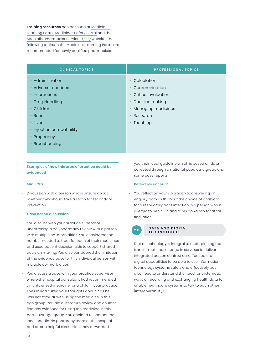**Training resources** can be found at [Medicines](https://www.medicineslearningportal.org/p/about_3.html)  [Learning Portal](https://www.medicineslearningportal.org/p/about_3.html), [Medicines Safety Portal](https://www.medicinesafety.co.uk/p/welcome.html) and the [Specialist Pharmacist Services \(SPS\)](https://www.medicinesafety.co.uk/p/welcome.html) website. The following topics in the Medicines Learning Portal are recommended for newly qualified pharmacists:

| <b>CLINICAL TOPICS</b>  | <b>PROFESSIONAL TOPICS</b> |
|-------------------------|----------------------------|
| Administration          | Calculations               |
| Adverse reactions       | Communication              |
| <b>Interactions</b>     | Critical evaluation        |
| Drug Handling           | Decision making            |
| Children                | Managing medicines         |
| Renal                   | Research                   |
| Liver                   | Teaching                   |
| Injection compatibility |                            |
| Pregnancy               |                            |
| Breastfeeding           |                            |
|                         |                            |

**Examples of how this area of practice could be evidenced** 

#### **Mini-CEX**

• Discussion with a person who is unsure about whether they should take a statin for secondary prevention.

#### **Case based discussion**

- You discuss with your practice supervisor undertaking a polypharmacy review with a person with multiple co-morbidities. You considered the number needed to treat for each of their medicines and used patient decision aids to support shared decision making. You also considered the limitation of the evidence base for this individual person with multiple co-morbidities.
- You discuss a case with your practice supervisor where the hospital consultant had recommended an unlicensed medicine for a child in your practice. The GP had asked your thoughts about it as he was not familiar with using the medicine in this age group. You did a literature review and couldn't find any evidence for using the medicine in this particular age group. You decided to contact the local paediatric pharmacy team at the hospital, and after a helpful discussion, they forwarded

you their local guideline which is based on data collected through a national paediatric group and some case reports.

#### **Reflective accoun**t

• You reflect on your approach to answering an enquiry from a GP about the choice of antibiotic for a respiratory tract infection in a person who is allergic to penicillin and takes apixaban for atrial fibrillation.

#### **DATA AND DIGITAL TECHNOLOGIES**

Digital technology is integral to underpinning the transformational change in services to deliver integrated person centred care. You require digital capabilities to be able to use information technology systems safely and effectively but also need to understand the need for systematic ways of recording and exchanging health data to enable healthcare systems to talk to each other (interoperability).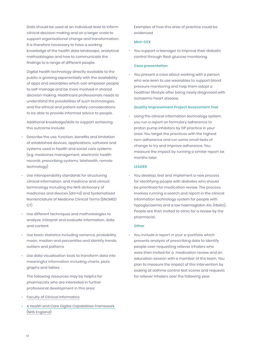Data should be used at an individual level to inform clinical decision making and on a larger scale to support organisational change and transformation. It is therefore necessary to have a working knowledge of the health data landscape, analytical methodologies and how to communicate the findings to a range of different people.

Digital health technology directly available to the public is growing exponentially with the availability of apps and wearables which can empower people to self-manage and be more involved in shared decision making. Healthcare professionals needs to understand the possibilities of such technologies, and the ethical and patient safety considerations to be able to provide informed advice to people.

Additional knowledge/skills to support achieving this outcome include:

- Describe the use, function, benefits and limitation of established devices, applications, software and systems used in health and social care systems (e.g. medicines management, electronic health records, prescribing systems, telehealth, remote technology)
- Use interoperability standards for structuring clinical information, and medicine and clinical terminology including the NHS dictionary of medicines and devices (dm+d) and Systematised Nomenclature of Medicine Clinical Terms (SNOMED CT)
- Use different techniques and methodologies to analyse, interpret and evaluate information, data and content
- Use basic statistics including variance, probability, mean, median and percentiles and identify trends, outliers and patterns
- Use data visualisation tools to transform data into meaningful information including charts, plots, graphs and tables

The following resources may be helpful for pharmacists who are interested in further professional development in this area:

- [Faculty of Clinical Informatics](https://facultyofclinicalinformatics.org.uk/)
- [A Health and Care Digital Capabilities Framework](https://www.hee.nhs.uk/sites/default/files/documents/Digital%20Literacy%20Capability%20Framework%202018.pdf)  [\(NHS England\)](https://www.hee.nhs.uk/sites/default/files/documents/Digital%20Literacy%20Capability%20Framework%202018.pdf)

Examples of how this area of practice could be evidenced

#### **Mini-CEX**

• You support a teenager to improve their diabetic control through flash glucose monitoring.

#### **Case presentation**

• You present a case about working with a person who was keen to use wearables to support blood pressure monitoring and help them adopt a healthier lifestyle after being newly diagnosed with ischaemic heart disease.

#### **Quality Improvement Project Assessment Tool**

• Using the clinical information technology system, you run a report on formulary adherence to proton pump inhibitors by GP practice in your area. You target the practices with the highest non-adherence and run some small tests of change to try and improve adherence. You measure the impact by running a similar report six months later.

#### **LEADER**

• You develop, test and implement a new process for identifying people with diabetes who should be prioritised for medication review. The process involves running a search and report in the clinical information technology system for people with hypoglycaemia and a low haemoglobin A1c (HbA1c). People are then invited to clinic for a review by the pharmacist.

#### **Other**

• You include a report in your e-portfolio which presents analysis of prescribing data to identify people over-requesting reliever inhalers who were then invited for a medication review and an education session with a member of the team. You plan to measure the impact of this intervention by looking at asthma control test scores and requests for reliever inhalers over the following year.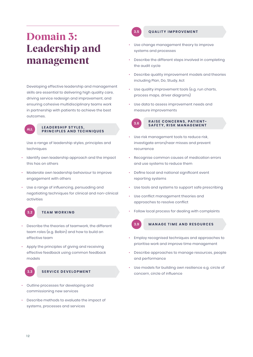## <span id="page-11-0"></span>Domain 3: Leadership and management

Developing effective leadership and management skills are essential to delivering high quality care, driving service redesign and improvement, and ensuring cohesive multidisciplinary teams work in partnership with patients to achieve the best outcomes.



#### LEADERSHIP STYLES, **PRINCIPLES AND TECHNIQUES ALL**

Use a range of leadership styles, principles and techniques

- Identify own leadership approach and the impact this has on others
- Moderate own leadership behaviour to improve engagement with others
- Use a range of influencing, persuading and negotiating techniques for clinical and non-clinical activities



#### **3.2 TEAM WORKING**

- Describe the theories of teamwork, the different team roles (e.g. Belbin) and how to build an effective team
- Apply the principles of giving and receiving effective feedback using common feedback models



#### **3.3 SERVICE DEVELOPMENT**

- Outline processes for developing and commissioning new services
- Describe methods to evaluate the impact of systems, processes and services

#### **3.5 QUALITY IMPROVEMENT**

- Use change management theory to improve systems and processes
- Describe the different steps involved in completing the audit cycle
- Describe quality improvement models and theories including Plan, Do, Study, Act
- Use quality improvement tools (e.g. run charts, process maps, driver diagrams)
- Use data to assess improvement needs and measure improvements



### **RAISE CONCERNS, PATIENT-SAFETY, RISK MANAGEMENT 3.6**

- Use risk management tools to reduce risk, investigate errors/near misses and prevent recurrence
- Recognise common causes of medication errors and use systems to reduce them
- Define local and national significant event reporting systems
- Use tools and systems to support safe prescribing
- Use conflict management theories and approaches to resolve conflict
- Follow local process for dealing with complaints



#### **3.9 MANAGE TIME AND RESOURCES**

- Employ recognised techniques and approaches to prioritise work and improve time management
- Describe approaches to manage resources, people and performance
- Use models for building own resilience e.g. circle of concern, circle of influence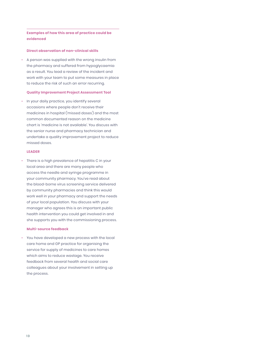#### **Examples of how this area of practice could be evidenced**

#### **Direct observation of non-clinical skills**

• A person was supplied with the wrong insulin from the pharmacy and suffered from hypoglycaemia as a result. You lead a review of the incident and work with your team to put some measures in place to reduce the risk of such an error recurring.

#### **Quality Improvement Project Assessment Tool**

• In your daily practice, you identify several occasions where people don't receive their medicines in hospital ('missed doses') and the most common documented reason on the medicine chart is 'medicine is not available'. You discuss with the senior nurse and pharmacy technician and undertake a quality improvement project to reduce missed doses.

#### **LEADER**

• There is a high prevalence of hepatitis C in your local area and there are many people who access the needle and syringe programme in your community pharmacy. You've read about the blood-borne virus screening service delivered by community pharmacies and think this would work well in your pharmacy and support the needs of your local population. You discuss with your manager who agrees this is an important public health intervention you could get involved in and she supports you with the commissioning process.

#### **Multi-source feedback**

• You have developed a new process with the local care home and GP practice for organising the service for supply of medicines to care homes which aims to reduce wastage. You receive feedback from several health and social care colleagues about your involvement in setting up the process.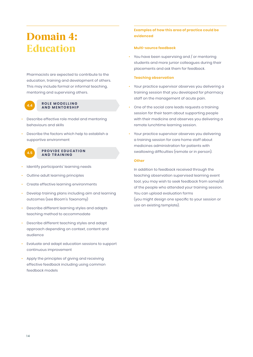### <span id="page-13-0"></span>Domain 4: **Education**

Pharmacists are expected to contribute to the education, training and development of others. This may include formal or informal teaching, mentoring and supervising others.



#### **ROLE MODELLING A.4** ROLE MODELLING<br>**AND MENTORSHIP**

- Describe effective role model and mentoring behaviours and skills
- Describe the factors which help to establish a supportive environment



#### **PROVIDE EDUCATION A.5 PROVIDE EDUC**<br>**AND TRAINING**

- Identify participants' learning needs
- Outline adult learning principles
- Create effective learning environments
- Develop training plans including aim and learning outcomes (see Bloom's Taxonomy)
- Describe different learning styles and adapts teaching method to accommodate
- Describe different teaching styles and adapt approach depending on context, content and audience
- Evaluate and adapt education sessions to support continuous improvement
- Apply the principles of giving and receiving effective feedback including using common feedback models

#### **Examples of how this area of practice could be evidenced**

#### **Multi-source feedback**

• You have been supervising and / or mentoring students and more junior colleagues during their placements and ask them for feedback.

#### **Teaching observation**

- Your practice supervisor observes you delivering a training session that you developed for pharmacy staff on the management of acute pain.
- One of the social care leads requests a training session for their team about supporting people with their medicine and observes you delivering a remote lunchtime learning session.
- Your practice supervisor observes you delivering a training session for care home staff about medicines administration for patients with swallowing difficulties (remote or in person).

#### **Other**

In addition to feedback received through the teaching observation supervised learning event tool, you may wish to seek feedback from some/all of the people who attended your training session. You can upload evaluation forms (you might design one specific to your session or use an existing template).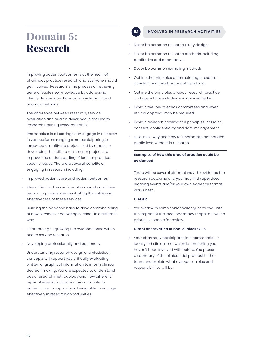### <span id="page-14-0"></span>Domain 5: Research

Improving patient outcomes is at the heart of pharmacy practice research and everyone should get involved. Research is the process of retrieving generalisable new knowledge by addressing clearly defined questions using systematic and rigorous methods.

The difference between research, service evaluation and audit is described in the Health Research Defining Research table.

Pharmacists in all settings can engage in research in various forms ranging from participating in large-scale, multi-site projects led by others, to developing the skills to run smaller projects to improve the understanding of local or practice specific issues. There are several benefits of engaging in research including:

- Improved patient care and patient outcomes
- Strengthening the services pharmacists and their team can provide, demonstrating the value and effectiveness of these services
- Building the evidence base to drive commissioning of new services or delivering services in a different way
- Contributing to growing the evidence base within health service research
- Developing professionally and personally

Understanding research design and statistical concepts will support you critically evaluating written or graphical information to inform clinical decision making. You are expected to understand basic research methodology and how different types of research activity may contribute to patient care, to support you being able to engage effectively in research opportunities.

#### **5.1 INVOLVED IN RESEARCH ACTIVITIES**

- Describe common research study designs
- Describe common research methods including qualitative and quantitative
- Describe common sampling methods
- Outline the principles of formulating a research question and the structure of a protocol
- Outline the principles of good research practice and apply to any studies you are involved in
- Explain the role of ethics committees and when ethical approval may be required
- Explain research governance principles including consent, confidentiality and data management
- Discusses why and how to incorporate patient and public involvement in research

#### **Examples of how this area of practice could be evidenced**

There will be several different ways to evidence the research outcome and you may find supervised learning events and/or your own evidence format works best.

#### **LEADER**

• You work with some senior colleagues to evaluate the impact of the local pharmacy triage tool which prioritises people for review.

#### **Direct observation of non-clinical skills**

• Your pharmacy participates in a commercial or locally led clinical trial which is something you haven't been involved with before. You present a summary of the clinical trial protocol to the team and explain what everyone's roles and responsibilities will be.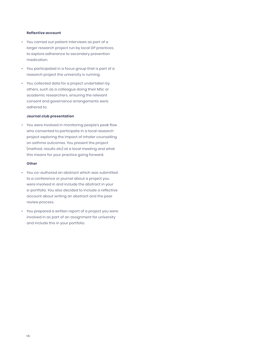#### **Reflective account**

- You carried out patient interviews as part of a larger research project run by local GP practices, to explore adherence to secondary prevention medication.
- You participated in a focus group that is part of a research project the university is running.
- You collected data for a project undertaken by others, such as a colleague doing their MSc or academic researchers, ensuring the relevant consent and governance arrangements were adhered to.

#### **Journal club presentation**

• You were involved in monitoring people's peak flow who consented to participate in a local research project exploring the impact of inhaler counselling on asthma outcomes. You present the project (method, results etc) at a local meeting and what this means for your practice going forward.

#### **Other**

- You co-authored an abstract which was submitted to a conference or journal about a project you were involved in and include the abstract in your e-portfolio. You also decided to include a reflective account about writing an abstract and the peer review process.
- You prepared a written report of a project you were involved in as part of an assignment for university and include this in your portfolio.